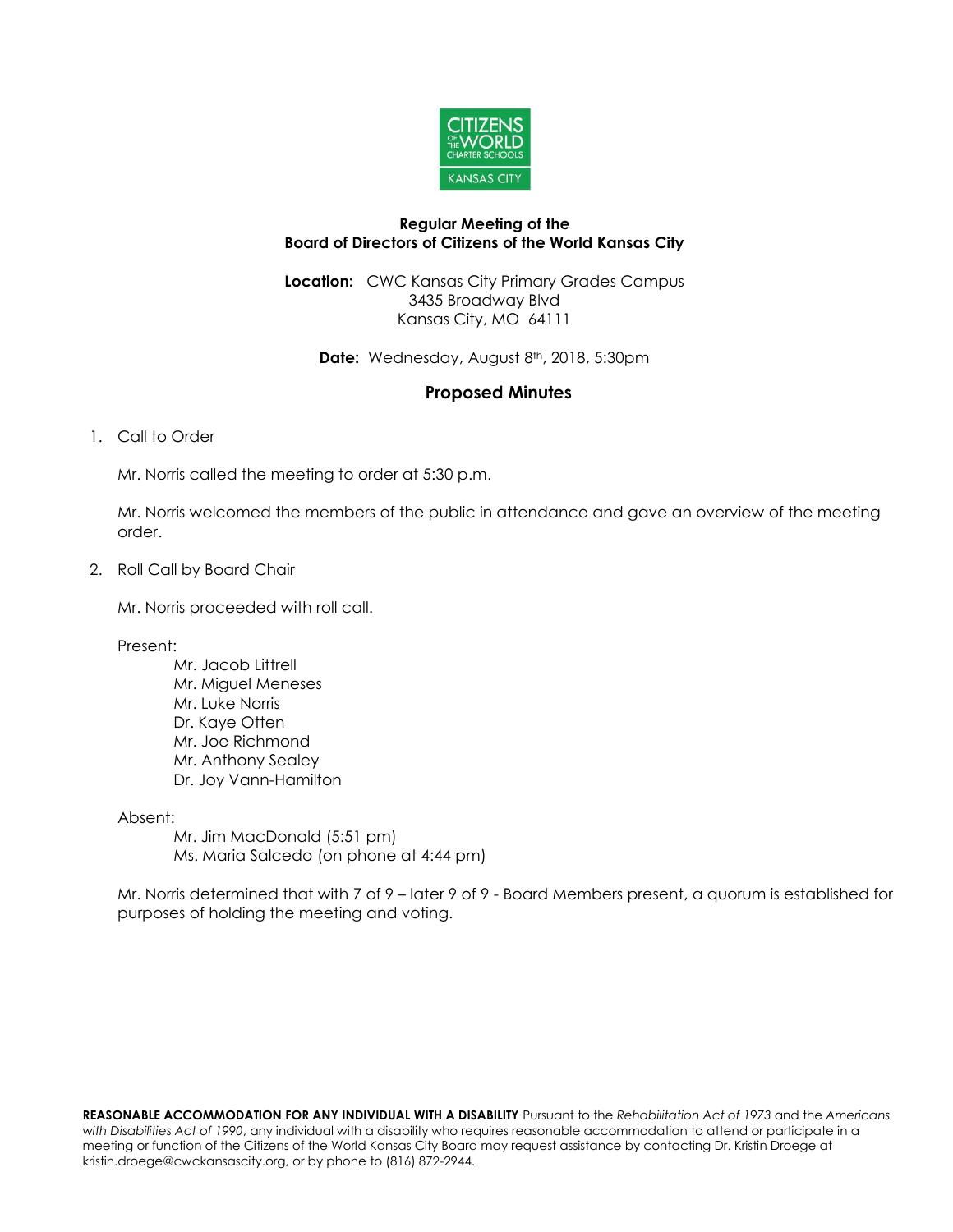

## **Regular Meeting of the Board of Directors of Citizens of the World Kansas City**

**Location:** CWC Kansas City Primary Grades Campus 3435 Broadway Blvd Kansas City, MO 64111

Date: Wednesday, August 8<sup>th</sup>, 2018, 5:30pm

## **Proposed Minutes**

## 1. Call to Order

Mr. Norris called the meeting to order at 5:30 p.m.

Mr. Norris welcomed the members of the public in attendance and gave an overview of the meeting order.

2. Roll Call by Board Chair

Mr. Norris proceeded with roll call.

Present:

Mr. Jacob Littrell Mr. Miguel Meneses Mr. Luke Norris Dr. Kaye Otten Mr. Joe Richmond Mr. Anthony Sealey Dr. Joy Vann-Hamilton

Absent:

Mr. Jim MacDonald (5:51 pm) Ms. Maria Salcedo (on phone at 4:44 pm)

Mr. Norris determined that with 7 of 9 – later 9 of 9 - Board Members present, a quorum is established for purposes of holding the meeting and voting.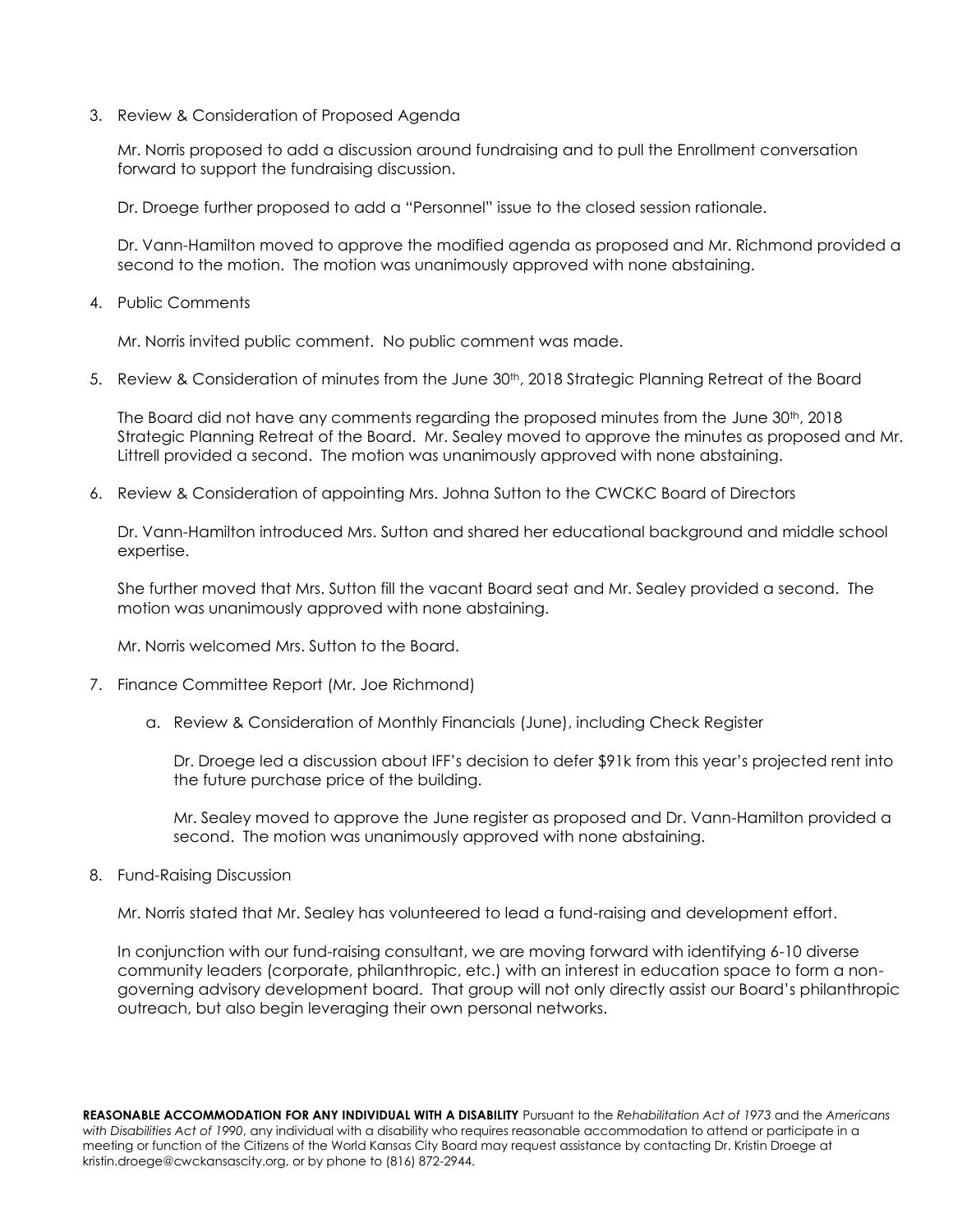3. Review & Consideration of Proposed Agenda

Mr. Norris proposed to add a discussion around fundraising and to pull the Enrollment conversation forward to support the fundraising discussion.

Dr. Droege further proposed to add a "Personnel" issue to the closed session rationale.

Dr. Vann-Hamilton moved to approve the modified agenda as proposed and Mr. Richmond provided a second to the motion. The motion was unanimously approved with none abstaining.

4. Public Comments

Mr. Norris invited public comment. No public comment was made.

5. Review & Consideration of minutes from the June 30<sup>th</sup>, 2018 Strategic Planning Retreat of the Board

The Board did not have any comments regarding the proposed minutes from the June  $30<sup>th</sup>$ , 2018 Strategic Planning Retreat of the Board. Mr. Sealey moved to approve the minutes as proposed and Mr. Littrell provided a second. The motion was unanimously approved with none abstaining.

6. Review & Consideration of appointing Mrs. Johna Sutton to the CWCKC Board of Directors

Dr. Vann-Hamilton introduced Mrs. Sutton and shared her educational background and middle school expertise.

She further moved that Mrs. Sutton fill the vacant Board seat and Mr. Sealey provided a second. The motion was unanimously approved with none abstaining.

Mr. Norris welcomed Mrs. Sutton to the Board.

- 7. Finance Committee Report (Mr. Joe Richmond)
	- a. Review & Consideration of Monthly Financials (June), including Check Register

Dr. Droege led a discussion about IFF's decision to defer \$91k from this year's projected rent into the future purchase price of the building.

Mr. Sealey moved to approve the June register as proposed and Dr. Vann-Hamilton provided a second. The motion was unanimously approved with none abstaining.

8. Fund-Raising Discussion

Mr. Norris stated that Mr. Sealey has volunteered to lead a fund-raising and development effort.

In conjunction with our fund-raising consultant, we are moving forward with identifying 6-10 diverse community leaders (corporate, philanthropic, etc.) with an interest in education space to form a nongoverning advisory development board. That group will not only directly assist our Board's philanthropic outreach, but also begin leveraging their own personal networks.

**REASONABLE ACCOMMODATION FOR ANY INDIVIDUAL WITH A DISABILITY** Pursuant to the *Rehabilitation Act of 1973* and the *Americans with Disabilities Act of 1990*, any individual with a disability who requires reasonable accommodation to attend or participate in a meeting or function of the Citizens of the World Kansas City Board may request assistance by contacting Dr. Kristin Droege at kristin.droege@cwckansascity.org, or by phone to (816) 872-2944.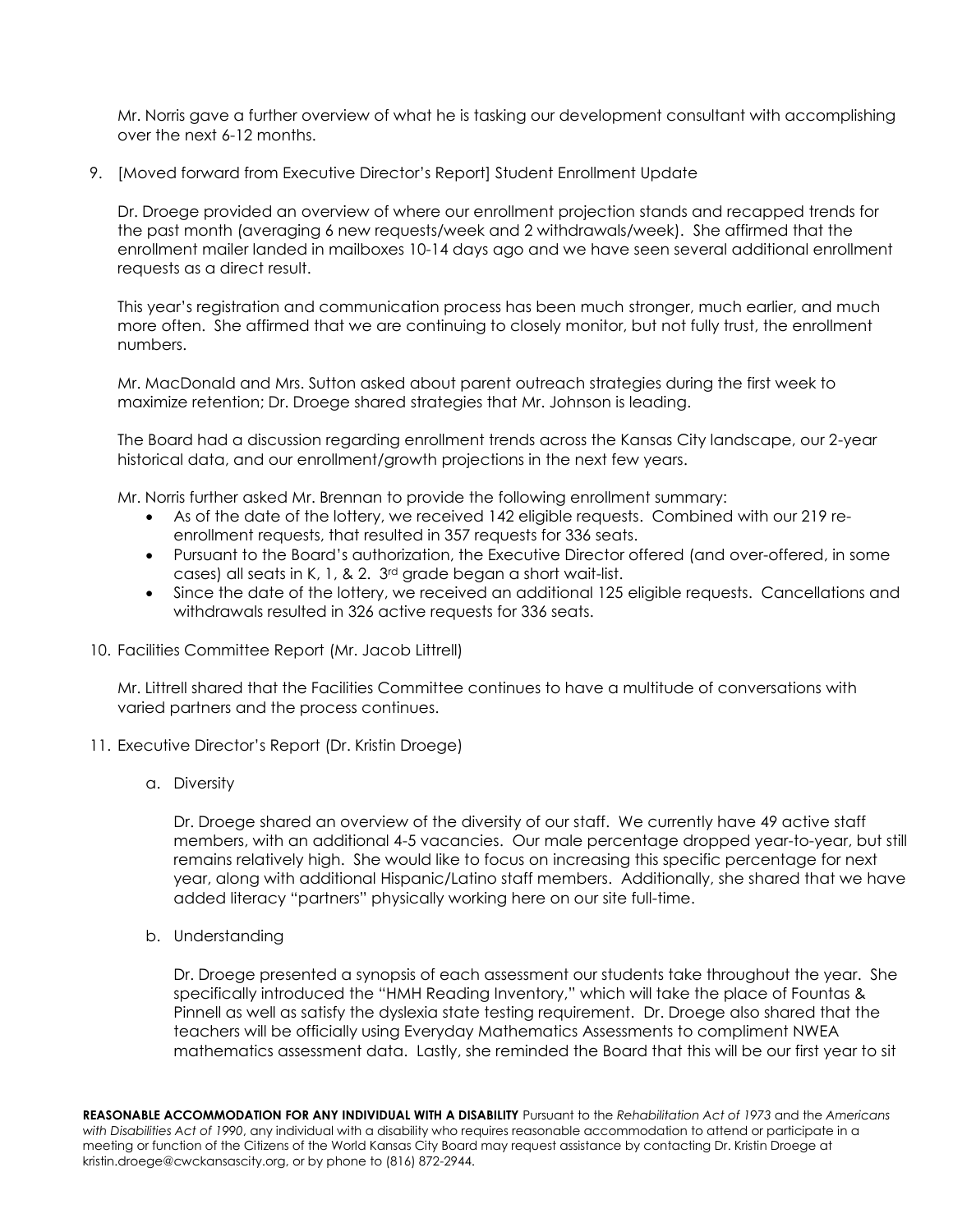Mr. Norris gave a further overview of what he is tasking our development consultant with accomplishing over the next 6-12 months.

9. [Moved forward from Executive Director's Report] Student Enrollment Update

Dr. Droege provided an overview of where our enrollment projection stands and recapped trends for the past month (averaging 6 new requests/week and 2 withdrawals/week). She affirmed that the enrollment mailer landed in mailboxes 10-14 days ago and we have seen several additional enrollment requests as a direct result.

This year's registration and communication process has been much stronger, much earlier, and much more often. She affirmed that we are continuing to closely monitor, but not fully trust, the enrollment numbers.

Mr. MacDonald and Mrs. Sutton asked about parent outreach strategies during the first week to maximize retention; Dr. Droege shared strategies that Mr. Johnson is leading.

The Board had a discussion regarding enrollment trends across the Kansas City landscape, our 2-year historical data, and our enrollment/growth projections in the next few years.

Mr. Norris further asked Mr. Brennan to provide the following enrollment summary:

- As of the date of the lottery, we received 142 eligible requests. Combined with our 219 reenrollment requests, that resulted in 357 requests for 336 seats.
- Pursuant to the Board's authorization, the Executive Director offered (and over-offered, in some cases) all seats in K, 1, & 2. 3rd grade began a short wait-list.
- Since the date of the lottery, we received an additional 125 eligible requests. Cancellations and withdrawals resulted in 326 active requests for 336 seats.
- 10. Facilities Committee Report (Mr. Jacob Littrell)

Mr. Littrell shared that the Facilities Committee continues to have a multitude of conversations with varied partners and the process continues.

- 11. Executive Director's Report (Dr. Kristin Droege)
	- a. Diversity

Dr. Droege shared an overview of the diversity of our staff. We currently have 49 active staff members, with an additional 4-5 vacancies. Our male percentage dropped year-to-year, but still remains relatively high. She would like to focus on increasing this specific percentage for next year, along with additional Hispanic/Latino staff members. Additionally, she shared that we have added literacy "partners" physically working here on our site full-time.

b. Understanding

Dr. Droege presented a synopsis of each assessment our students take throughout the year. She specifically introduced the "HMH Reading Inventory," which will take the place of Fountas & Pinnell as well as satisfy the dyslexia state testing requirement. Dr. Droege also shared that the teachers will be officially using Everyday Mathematics Assessments to compliment NWEA mathematics assessment data. Lastly, she reminded the Board that this will be our first year to sit

**REASONABLE ACCOMMODATION FOR ANY INDIVIDUAL WITH A DISABILITY** Pursuant to the *Rehabilitation Act of 1973* and the *Americans with Disabilities Act of 1990*, any individual with a disability who requires reasonable accommodation to attend or participate in a meeting or function of the Citizens of the World Kansas City Board may request assistance by contacting Dr. Kristin Droege at kristin.droege@cwckansascity.org, or by phone to (816) 872-2944.